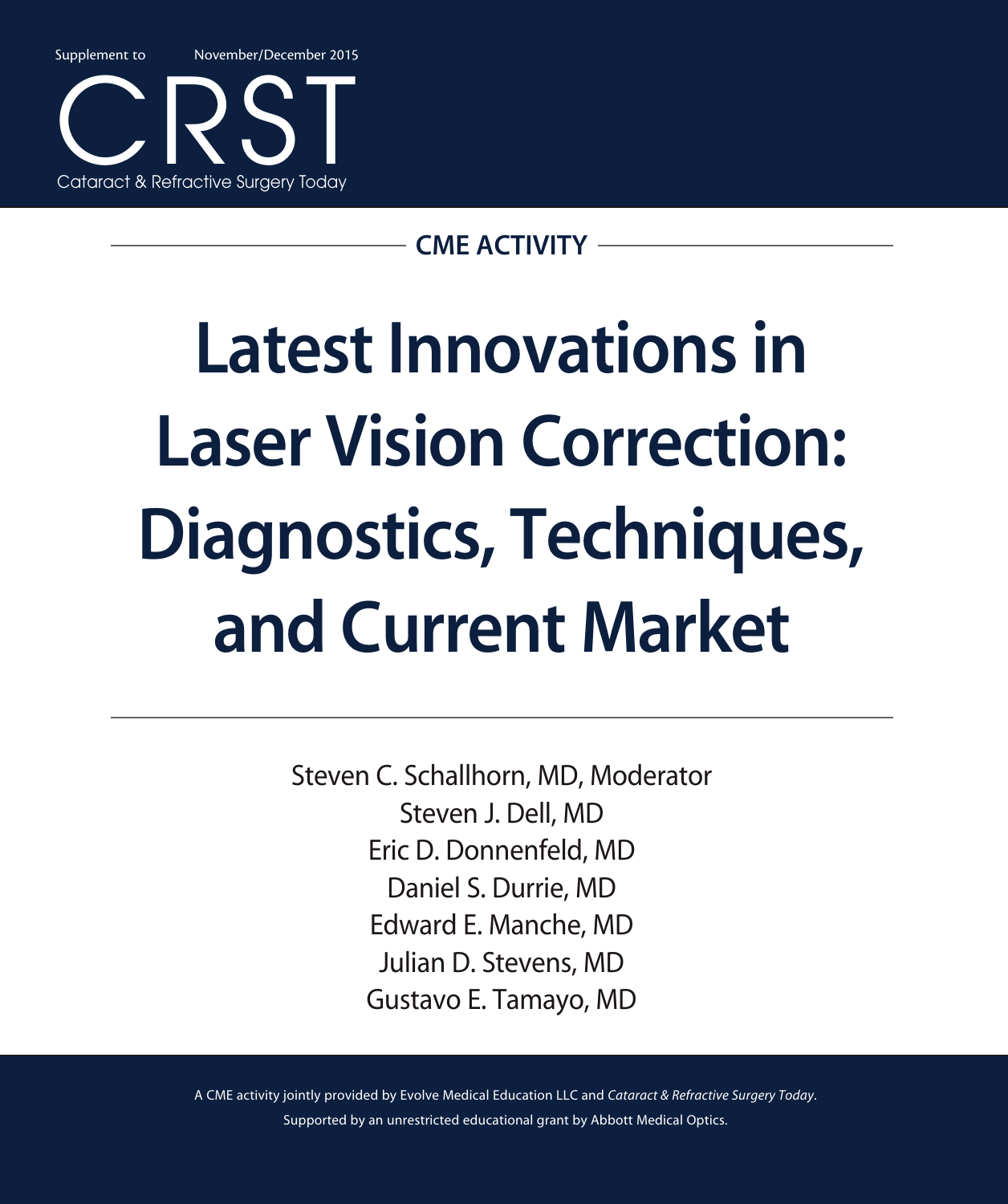Supplement to November/December 2015



### CME ACTIVITY

# Latest Innovations in Laser Vision Correction: Diagnostics, Techniques, and Current Market

Steven C. Schallhorn, MD, Moderator Steven J. Dell, MD Eric D. Donnenfeld, MD Daniel S. Durrie, MD Edward E. Manche, MD Julian D. Stevens, MD Gustavo E. Tamayo, MD

A CME activity jointly provided by Evolve Medical Education LLC and *Cataract & Refractive Surgery Today*. Supported by an unrestricted educational grant by Abbott Medical Optics.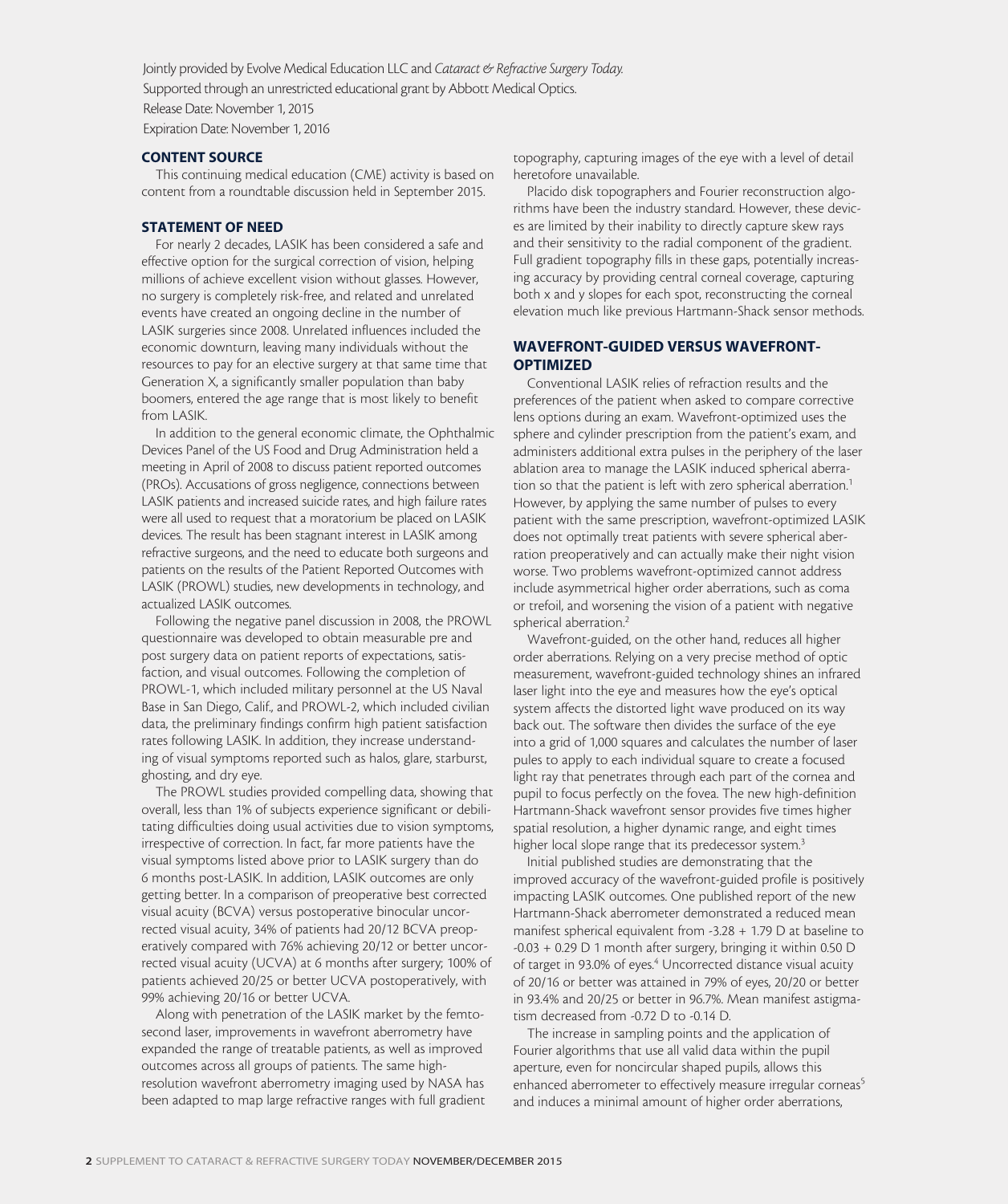Jointly provided by Evolve Medical Education LLC and Cataract & Refractive Surgery Today. Supported through an unrestricted educational grant by Abbott Medical Optics. Release Date: November 1, 2015

Expiration Date: November 1, 2016

#### CONTENT SOURCE

This continuing medical education (CME) activity is based on content from a roundtable discussion held in September 2015.

#### STATEMENT OF NEED

For nearly 2 decades, LASIK has been considered a safe and effective option for the surgical correction of vision, helping millions of achieve excellent vision without glasses. However, no surgery is completely risk-free, and related and unrelated events have created an ongoing decline in the number of LASIK surgeries since 2008. Unrelated influences included the economic downturn, leaving many individuals without the resources to pay for an elective surgery at that same time that Generation X, a significantly smaller population than baby boomers, entered the age range that is most likely to benefit from LASIK.

In addition to the general economic climate, the Ophthalmic Devices Panel of the US Food and Drug Administration held a meeting in April of 2008 to discuss patient reported outcomes (PROs). Accusations of gross negligence, connections between LASIK patients and increased suicide rates, and high failure rates were all used to request that a moratorium be placed on LASIK devices. The result has been stagnant interest in LASIK among refractive surgeons, and the need to educate both surgeons and patients on the results of the Patient Reported Outcomes with LASIK (PROWL) studies, new developments in technology, and actualized LASIK outcomes.

Following the negative panel discussion in 2008, the PROWL questionnaire was developed to obtain measurable pre and post surgery data on patient reports of expectations, satisfaction, and visual outcomes. Following the completion of PROWL-1, which included military personnel at the US Naval Base in San Diego, Calif., and PROWL-2, which included civilian data, the preliminary findings confirm high patient satisfaction rates following LASIK. In addition, they increase understanding of visual symptoms reported such as halos, glare, starburst, ghosting, and dry eye.

The PROWL studies provided compelling data, showing that overall, less than 1% of subjects experience significant or debilitating difficulties doing usual activities due to vision symptoms, irrespective of correction. In fact, far more patients have the visual symptoms listed above prior to LASIK surgery than do 6 months post-LASIK. In addition, LASIK outcomes are only getting better. In a comparison of preoperative best corrected visual acuity (BCVA) versus postoperative binocular uncorrected visual acuity, 34% of patients had 20/12 BCVA preoperatively compared with 76% achieving 20/12 or better uncorrected visual acuity (UCVA) at 6 months after surgery; 100% of patients achieved 20/25 or better UCVA postoperatively, with 99% achieving 20/16 or better UCVA.

Along with penetration of the LASIK market by the femtosecond laser, improvements in wavefront aberrometry have expanded the range of treatable patients, as well as improved outcomes across all groups of patients. The same highresolution wavefront aberrometry imaging used by NASA has been adapted to map large refractive ranges with full gradient

topography, capturing images of the eye with a level of detail heretofore unavailable.

Placido disk topographers and Fourier reconstruction algorithms have been the industry standard. However, these devices are limited by their inability to directly capture skew rays and their sensitivity to the radial component of the gradient. Full gradient topography fills in these gaps, potentially increasing accuracy by providing central corneal coverage, capturing both x and y slopes for each spot, reconstructing the corneal elevation much like previous Hartmann-Shack sensor methods.

#### WAVEFRONT-GUIDED VERSUS WAVEFRONT-**OPTIMIZED**

Conventional LASIK relies of refraction results and the preferences of the patient when asked to compare corrective lens options during an exam. Wavefront-optimized uses the sphere and cylinder prescription from the patient's exam, and administers additional extra pulses in the periphery of the laser ablation area to manage the LASIK induced spherical aberration so that the patient is left with zero spherical aberration.<sup>1</sup> However, by applying the same number of pulses to every patient with the same prescription, wavefront-optimized LASIK does not optimally treat patients with severe spherical aberration preoperatively and can actually make their night vision worse. Two problems wavefront-optimized cannot address include asymmetrical higher order aberrations, such as coma or trefoil, and worsening the vision of a patient with negative spherical aberration.<sup>2</sup>

Wavefront-guided, on the other hand, reduces all higher order aberrations. Relying on a very precise method of optic measurement, wavefront-guided technology shines an infrared laser light into the eye and measures how the eye's optical system affects the distorted light wave produced on its way back out. The software then divides the surface of the eye into a grid of 1,000 squares and calculates the number of laser pules to apply to each individual square to create a focused light ray that penetrates through each part of the cornea and pupil to focus perfectly on the fovea. The new high-definition Hartmann-Shack wavefront sensor provides five times higher spatial resolution, a higher dynamic range, and eight times higher local slope range that its predecessor system.<sup>3</sup>

Initial published studies are demonstrating that the improved accuracy of the wavefront-guided profile is positively impacting LASIK outcomes. One published report of the new Hartmann-Shack aberrometer demonstrated a reduced mean manifest spherical equivalent from -3.28 + 1.79 D at baseline to -0.03 + 0.29 D 1 month after surgery, bringing it within 0.50 D of target in 93.0% of eyes.<sup>4</sup> Uncorrected distance visual acuity of 20/16 or better was attained in 79% of eyes, 20/20 or better in 93.4% and 20/25 or better in 96.7%. Mean manifest astigmatism decreased from -0.72 D to -0.14 D.

The increase in sampling points and the application of Fourier algorithms that use all valid data within the pupil aperture, even for noncircular shaped pupils, allows this enhanced aberrometer to effectively measure irregular corneas<sup>5</sup> and induces a minimal amount of higher order aberrations,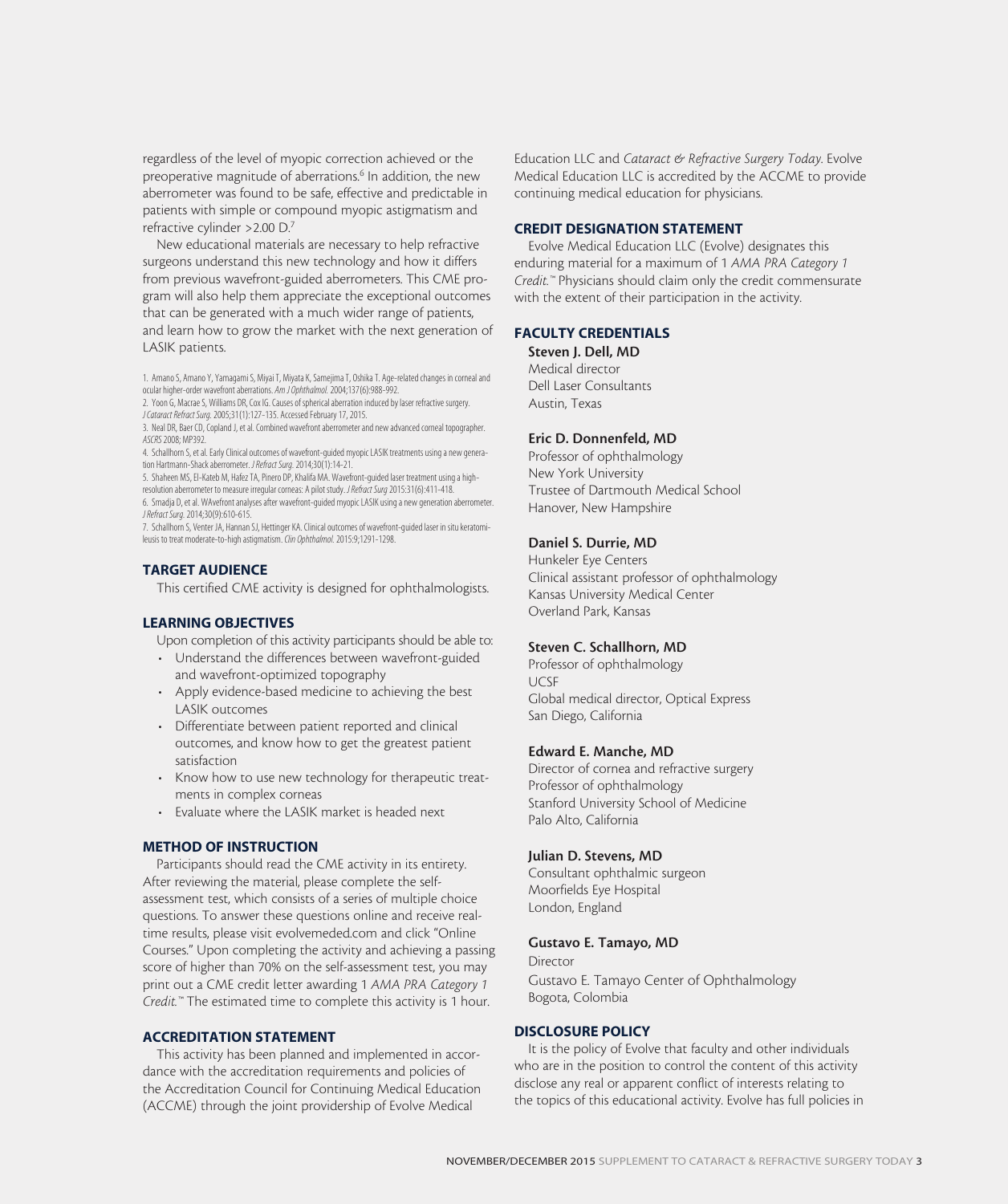regardless of the level of myopic correction achieved or the preoperative magnitude of aberrations.<sup>6</sup> In addition, the new aberrometer was found to be safe, effective and predictable in patients with simple or compound myopic astigmatism and refractive cylinder >2.00 D.7

New educational materials are necessary to help refractive surgeons understand this new technology and how it differs from previous wavefront-guided aberrometers. This CME program will also help them appreciate the exceptional outcomes that can be generated with a much wider range of patients, and learn how to grow the market with the next generation of LASIK patients.

1. Amano S, Amano Y, Yamagami S, Miyai T, Miyata K, Samejima T, Oshika T. Age-related changes in corneal and ocular higher-order wavefront aberrations. *Am J Ophthalmol.* 2004;137(6):988-992.

2. Yoon G, Macrae S, Williams DR, Cox IG. Causes of spherical aberration induced by laser refractive surgery. *J Cataract Refract Surg.* 2005;31(1):127-135. Accessed February 17, 2015.

3. Neal DR, Baer CD, Copland J, et al. Combined wavefront aberrometer and new advanced corneal topographer. *ASCRS* 2008; MP392.

4. Schallhorn S, et al. Early Clinical outcomes of wavefront-guided myopic LASIK treatments using a new generation Hartmann-Shack aberrometer. *J Refract Surg.* 2014;30(1):14-21.

5. Shaheen MS, El-Kateb M, Hafez TA, Pinero DP, Khalifa MA. Wavefront-guided laser treatment using a highresolution aberrometer to measure irregular corneas: A pilot study. *J Refract Surg* 2015:31(6):411-418. 6. Smadja D, et al. WAvefront analyses after wavefront-guided myopic LASIK using a new generation aberrometer.

*J Refract Surg.* 2014;30(9):610-615.

7. Schallhorn S, Venter JA, Hannan SJ, Hettinger KA. Clinical outcomes of wavefront-guided laser in situ keratomileusis to treat moderate-to-high astigmatism. *Clin Ophthalmol.* 2015:9;1291-1298.

#### TARGET AUDIENCE

This certified CME activity is designed for ophthalmologists.

#### LEARNING OBJECTIVES

Upon completion of this activity participants should be able to:

- Understand the differences between wavefront-guided and wavefront-optimized topography
- Apply evidence-based medicine to achieving the best LASIK outcomes
- Differentiate between patient reported and clinical outcomes, and know how to get the greatest patient satisfaction
- Know how to use new technology for therapeutic treatments in complex corneas
- Evaluate where the LASIK market is headed next

#### METHOD OF INSTRUCTION

Participants should read the CME activity in its entirety. After reviewing the material, please complete the selfassessment test, which consists of a series of multiple choice questions. To answer these questions online and receive realtime results, please visit evolvemeded.com and click "Online Courses." Upon completing the activity and achieving a passing score of higher than 70% on the self-assessment test, you may print out a CME credit letter awarding 1 *AMA PRA Category 1 Credit.™* The estimated time to complete this activity is 1 hour.

#### ACCREDITATION STATEMENT

This activity has been planned and implemented in accordance with the accreditation requirements and policies of the Accreditation Council for Continuing Medical Education (ACCME) through the joint providership of Evolve Medical

Education LLC and *Cataract & Refractive Surgery Today*. Evolve Medical Education LLC is accredited by the ACCME to provide continuing medical education for physicians.

#### CREDIT DESIGNATION STATEMENT

Evolve Medical Education LLC (Evolve) designates this enduring material for a maximum of 1 *AMA PRA Category 1 Credit.™* Physicians should claim only the credit commensurate with the extent of their participation in the activity.

#### FACULTY CREDENTIALS

Steven J. Dell, MD Medical director Dell Laser Consultants

Austin, Texas

#### Eric D. Donnenfeld, MD

Professor of ophthalmology New York University Trustee of Dartmouth Medical School Hanover, New Hampshire

#### Daniel S. Durrie, MD

Hunkeler Eye Centers Clinical assistant professor of ophthalmology Kansas University Medical Center Overland Park, Kansas

#### Steven C. Schallhorn, MD

Professor of ophthalmology UCSF Global medical director, Optical Express San Diego, California

#### Edward E. Manche, MD

Director of cornea and refractive surgery Professor of ophthalmology Stanford University School of Medicine Palo Alto, California

#### Julian D. Stevens, MD

Consultant ophthalmic surgeon Moorfields Eye Hospital London, England

#### Gustavo E. Tamayo, MD

Director Gustavo E. Tamayo Center of Ophthalmology Bogota, Colombia

#### DISCLOSURE POLICY

It is the policy of Evolve that faculty and other individuals who are in the position to control the content of this activity disclose any real or apparent conflict of interests relating to the topics of this educational activity. Evolve has full policies in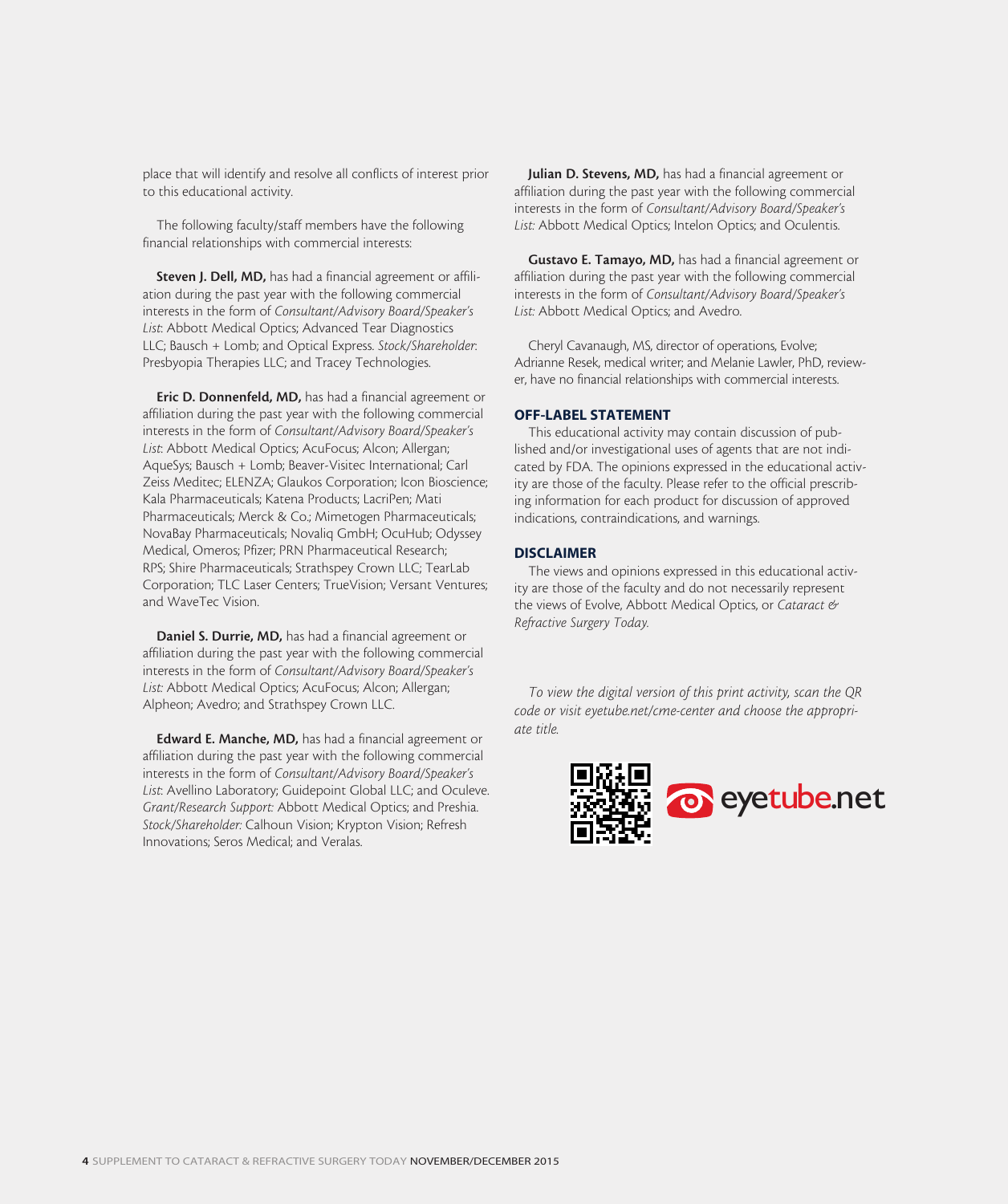place that will identify and resolve all conflicts of interest prior to this educational activity.

The following faculty/staff members have the following financial relationships with commercial interests:

Steven J. Dell, MD, has had a financial agreement or affiliation during the past year with the following commercial interests in the form of *Consultant/Advisory Board/Speaker's List*: Abbott Medical Optics; Advanced Tear Diagnostics LLC; Bausch + Lomb; and Optical Express. *Stock/Shareholder*: Presbyopia Therapies LLC; and Tracey Technologies.

Eric D. Donnenfeld, MD, has had a financial agreement or affiliation during the past year with the following commercial interests in the form of *Consultant/Advisory Board/Speaker's List*: Abbott Medical Optics; AcuFocus; Alcon; Allergan; AqueSys; Bausch + Lomb; Beaver-Visitec International; Carl Zeiss Meditec; ELENZA; Glaukos Corporation; Icon Bioscience; Kala Pharmaceuticals; Katena Products; LacriPen; Mati Pharmaceuticals; Merck & Co.; Mimetogen Pharmaceuticals; NovaBay Pharmaceuticals; Novaliq GmbH; OcuHub; Odyssey Medical, Omeros; Pfizer; PRN Pharmaceutical Research; RPS; Shire Pharmaceuticals; Strathspey Crown LLC; TearLab Corporation; TLC Laser Centers; TrueVision; Versant Ventures; and WaveTec Vision.

Daniel S. Durrie, MD, has had a financial agreement or affiliation during the past year with the following commercial interests in the form of *Consultant/Advisory Board/Speaker's List:* Abbott Medical Optics; AcuFocus; Alcon; Allergan; Alpheon; Avedro; and Strathspey Crown LLC.

Edward E. Manche, MD, has had a financial agreement or affiliation during the past year with the following commercial interests in the form of *Consultant/Advisory Board/Speaker's List*: Avellino Laboratory; Guidepoint Global LLC; and Oculeve. *Grant/Research Support:* Abbott Medical Optics; and Preshia. *Stock/Shareholder:* Calhoun Vision; Krypton Vision; Refresh Innovations; Seros Medical; and Veralas.

Julian D. Stevens, MD, has had a financial agreement or affiliation during the past year with the following commercial interests in the form of *Consultant/Advisory Board/Speaker's List:* Abbott Medical Optics; Intelon Optics; and Oculentis.

Gustavo E. Tamayo, MD, has had a financial agreement or affiliation during the past year with the following commercial interests in the form of *Consultant/Advisory Board/Speaker's List:* Abbott Medical Optics; and Avedro.

Cheryl Cavanaugh, MS, director of operations, Evolve; Adrianne Resek, medical writer; and Melanie Lawler, PhD, reviewer, have no financial relationships with commercial interests.

#### OFF-LABEL STATEMENT

This educational activity may contain discussion of published and/or investigational uses of agents that are not indicated by FDA. The opinions expressed in the educational activity are those of the faculty. Please refer to the official prescribing information for each product for discussion of approved indications, contraindications, and warnings.

#### DISCLAIMER

The views and opinions expressed in this educational activity are those of the faculty and do not necessarily represent the views of Evolve, Abbott Medical Optics, or *Cataract & Refractive Surgery Today.*

*To view the digital version of this print activity, scan the QR code or visit eyetube.net/cme-center and choose the appropriate title.*

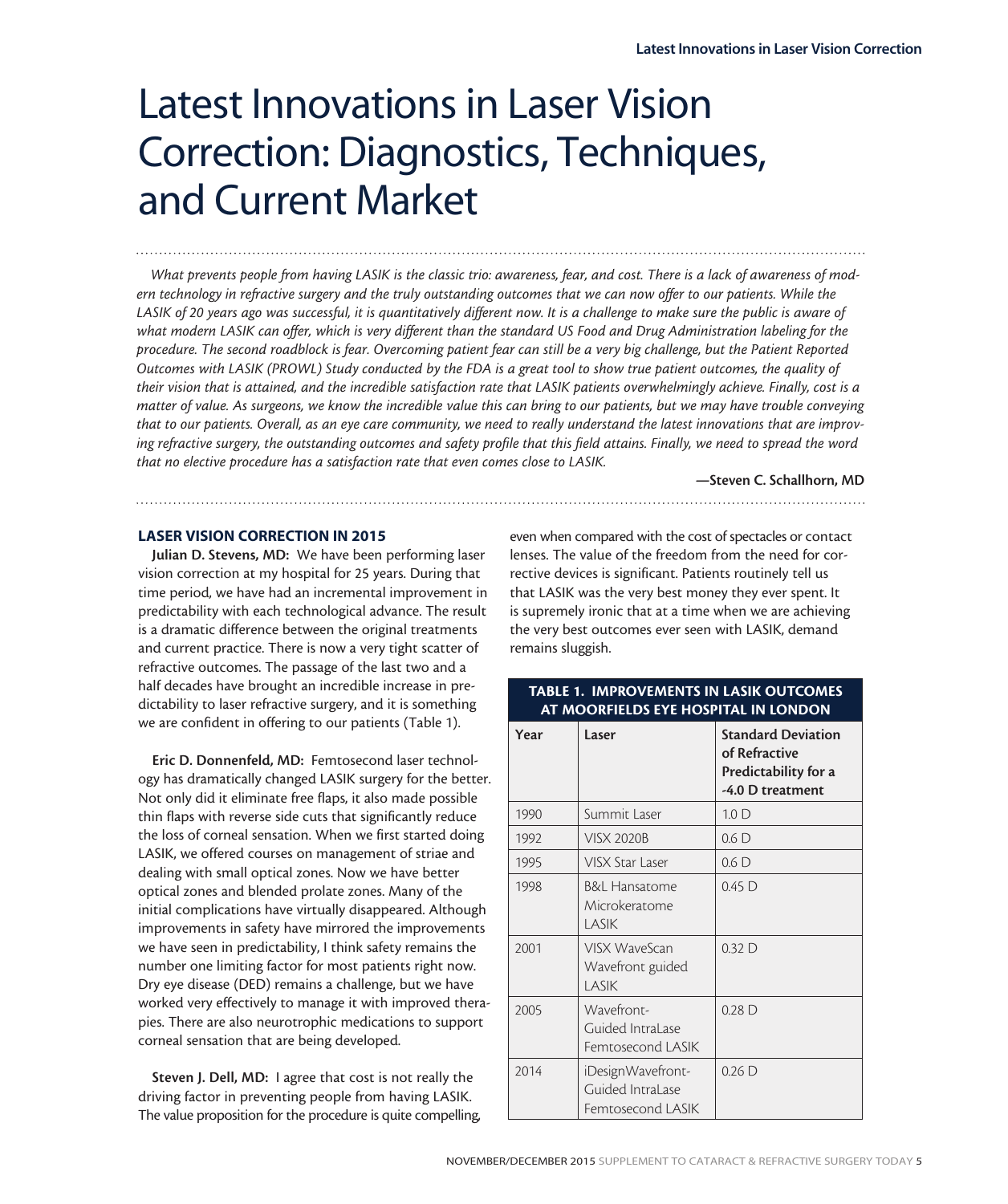## Latest Innovations in Laser Vision Correction: Diagnostics, Techniques, and Current Market

*What prevents people from having LASIK is the classic trio: awareness, fear, and cost. There is a lack of awareness of modern technology in refractive surgery and the truly outstanding outcomes that we can now offer to our patients. While the LASIK of 20 years ago was successful, it is quantitatively different now. It is a challenge to make sure the public is aware of what modern LASIK can offer, which is very different than the standard US Food and Drug Administration labeling for the procedure. The second roadblock is fear. Overcoming patient fear can still be a very big challenge, but the Patient Reported Outcomes with LASIK (PROWL) Study conducted by the FDA is a great tool to show true patient outcomes, the quality of their vision that is attained, and the incredible satisfaction rate that LASIK patients overwhelmingly achieve. Finally, cost is a matter of value. As surgeons, we know the incredible value this can bring to our patients, but we may have trouble conveying that to our patients. Overall, as an eye care community, we need to really understand the latest innovations that are improving refractive surgery, the outstanding outcomes and safety profile that this field attains. Finally, we need to spread the word that no elective procedure has a satisfaction rate that even comes close to LASIK.*

—Steven C. Schallhorn, MD

#### LASER VISION CORRECTION IN 2015

Julian D. Stevens, MD: We have been performing laser vision correction at my hospital for 25 years. During that time period, we have had an incremental improvement in predictability with each technological advance. The result is a dramatic difference between the original treatments and current practice. There is now a very tight scatter of refractive outcomes. The passage of the last two and a half decades have brought an incredible increase in predictability to laser refractive surgery, and it is something we are confident in offering to our patients (Table 1).

Eric D. Donnenfeld, MD: Femtosecond laser technology has dramatically changed LASIK surgery for the better. Not only did it eliminate free flaps, it also made possible thin flaps with reverse side cuts that significantly reduce the loss of corneal sensation. When we first started doing LASIK, we offered courses on management of striae and dealing with small optical zones. Now we have better optical zones and blended prolate zones. Many of the initial complications have virtually disappeared. Although improvements in safety have mirrored the improvements we have seen in predictability, I think safety remains the number one limiting factor for most patients right now. Dry eye disease (DED) remains a challenge, but we have worked very effectively to manage it with improved therapies. There are also neurotrophic medications to support corneal sensation that are being developed.

Steven J. Dell, MD: I agree that cost is not really the driving factor in preventing people from having LASIK. The value proposition for the procedure is quite compelling,

even when compared with the cost of spectacles or contact lenses. The value of the freedom from the need for corrective devices is significant. Patients routinely tell us that LASIK was the very best money they ever spent. It is supremely ironic that at a time when we are achieving the very best outcomes ever seen with LASIK, demand remains sluggish.

#### TABLE 1. IMPROVEMENTS IN LASIK OUTCOMES AT MOORFIELDS EYE HOSPITAL IN LONDON

| Year | Laser                                                      | <b>Standard Deviation</b><br>of Refractive<br>Predictability for a<br>-4.0 D treatment |
|------|------------------------------------------------------------|----------------------------------------------------------------------------------------|
| 1990 | Summit Laser                                               | 1.0 <sub>D</sub>                                                                       |
| 1992 | <b>VISX 2020B</b>                                          | 0.6 <sub>D</sub>                                                                       |
| 1995 | VISX Star Laser                                            | 0.6 <sub>D</sub>                                                                       |
| 1998 | <b>B&amp;L Hansatome</b><br>Microkeratome<br>LASIK         | $0.45$ D                                                                               |
| 2001 | VISX WaveScan<br>Wavefront guided<br>LASIK                 | 0.32 <sub>D</sub>                                                                      |
| 2005 | Wavefront-<br>Guided IntraLase<br>Femtosecond LASIK        | 0.28 <sub>D</sub>                                                                      |
| 2014 | iDesignWavefront-<br>Guided IntraLase<br>Femtosecond LASIK | $0.26\text{ D}$                                                                        |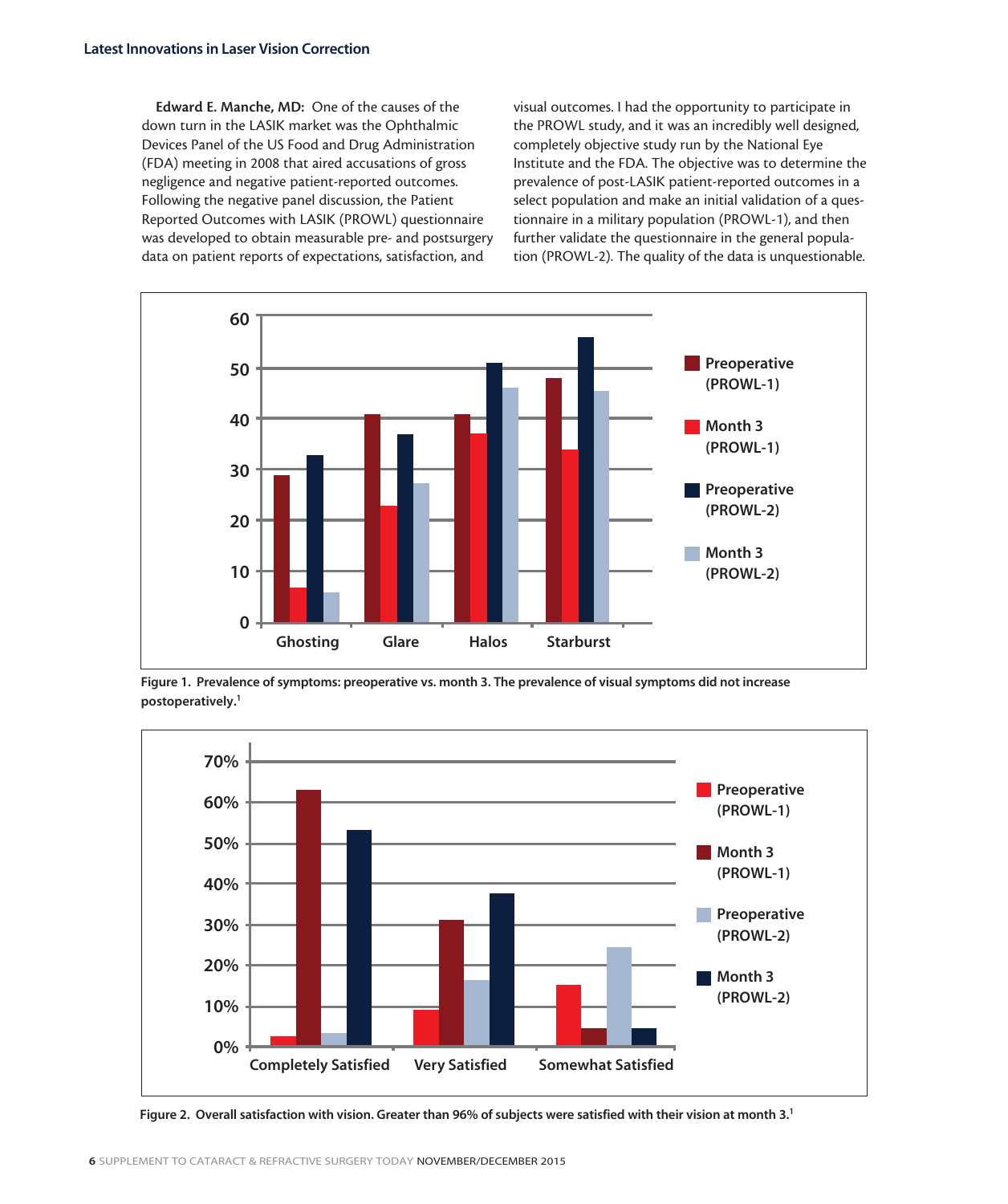Edward E. Manche, MD: One of the causes of the down turn in the LASIK market was the Ophthalmic Devices Panel of the US Food and Drug Administration (FDA) meeting in 2008 that aired accusations of gross negligence and negative patient-reported outcomes. Following the negative panel discussion, the Patient Reported Outcomes with LASIK (PROWL) questionnaire was developed to obtain measurable pre- and postsurgery data on patient reports of expectations, satisfaction, and

visual outcomes. I had the opportunity to participate in the PROWL study, and it was an incredibly well designed, completely objective study run by the National Eye Institute and the FDA. The objective was to determine the prevalence of post-LASIK patient-reported outcomes in a select population and make an initial validation of a questionnaire in a military population (PROWL-1), and then further validate the questionnaire in the general population (PROWL-2). The quality of the data is unquestionable.



Figure 1. Prevalence of symptoms: preoperative vs. month 3. The prevalence of visual symptoms did not increase postoperatively.<sup>1</sup>



Figure 2. Overall satisfaction with vision. Greater than 96% of subjects were satisfied with their vision at month 3.<sup>1</sup>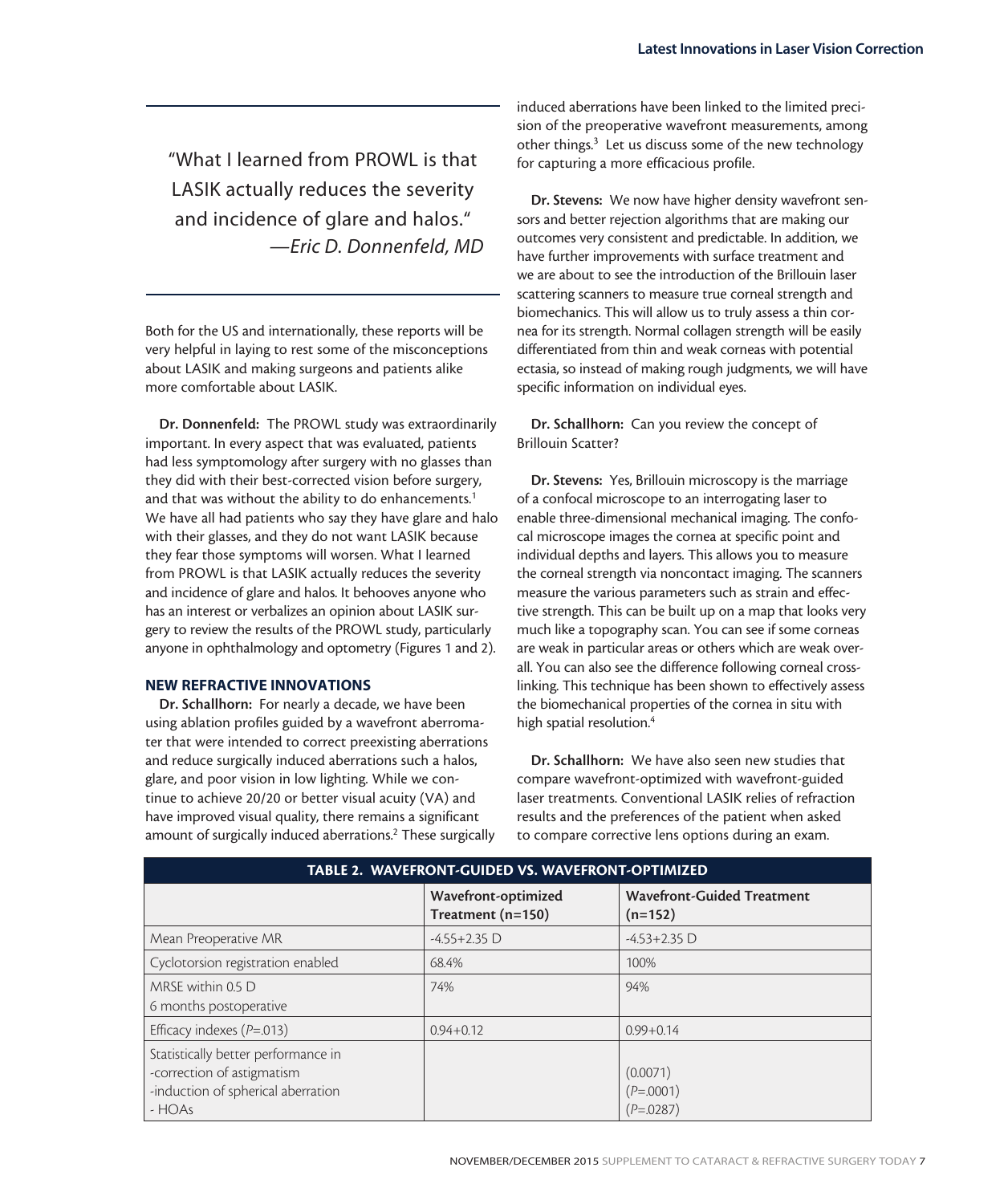"What I learned from PROWL is that LASIK actually reduces the severity and incidence of glare and halos." *—Eric D. Donnenfeld, MD*

Both for the US and internationally, these reports will be very helpful in laying to rest some of the misconceptions about LASIK and making surgeons and patients alike more comfortable about LASIK.

Dr. Donnenfeld: The PROWL study was extraordinarily important. In every aspect that was evaluated, patients had less symptomology after surgery with no glasses than they did with their best-corrected vision before surgery, and that was without the ability to do enhancements.<sup>1</sup> We have all had patients who say they have glare and halo with their glasses, and they do not want LASIK because they fear those symptoms will worsen. What I learned from PROWL is that LASIK actually reduces the severity and incidence of glare and halos. It behooves anyone who has an interest or verbalizes an opinion about LASIK surgery to review the results of the PROWL study, particularly anyone in ophthalmology and optometry (Figures 1 and 2).

#### NEW REFRACTIVE INNOVATIONS

Dr. Schallhorn: For nearly a decade, we have been using ablation profiles guided by a wavefront aberromater that were intended to correct preexisting aberrations and reduce surgically induced aberrations such a halos, glare, and poor vision in low lighting. While we continue to achieve 20/20 or better visual acuity (VA) and have improved visual quality, there remains a significant amount of surgically induced aberrations.<sup>2</sup> These surgically induced aberrations have been linked to the limited precision of the preoperative wavefront measurements, among other things.<sup>3</sup> Let us discuss some of the new technology for capturing a more efficacious profile.

Dr. Stevens: We now have higher density wavefront sensors and better rejection algorithms that are making our outcomes very consistent and predictable. In addition, we have further improvements with surface treatment and we are about to see the introduction of the Brillouin laser scattering scanners to measure true corneal strength and biomechanics. This will allow us to truly assess a thin cornea for its strength. Normal collagen strength will be easily differentiated from thin and weak corneas with potential ectasia, so instead of making rough judgments, we will have specific information on individual eyes.

Dr. Schallhorn: Can you review the concept of Brillouin Scatter?

Dr. Stevens: Yes, Brillouin microscopy is the marriage of a confocal microscope to an interrogating laser to enable three-dimensional mechanical imaging. The confocal microscope images the cornea at specific point and individual depths and layers. This allows you to measure the corneal strength via noncontact imaging. The scanners measure the various parameters such as strain and effective strength. This can be built up on a map that looks very much like a topography scan. You can see if some corneas are weak in particular areas or others which are weak overall. You can also see the difference following corneal crosslinking. This technique has been shown to effectively assess the biomechanical properties of the cornea in situ with high spatial resolution.<sup>4</sup>

Dr. Schallhorn: We have also seen new studies that compare wavefront-optimized with wavefront-guided laser treatments. Conventional LASIK relies of refraction results and the preferences of the patient when asked to compare corrective lens options during an exam.

| TABLE 2. WAVEFRONT-GUIDED VS. WAVEFRONT-OPTIMIZED                                                                 |                                          |                                                |  |  |  |
|-------------------------------------------------------------------------------------------------------------------|------------------------------------------|------------------------------------------------|--|--|--|
|                                                                                                                   | Wavefront-optimized<br>Treatment (n=150) | <b>Wavefront-Guided Treatment</b><br>$(n=152)$ |  |  |  |
| Mean Preoperative MR                                                                                              | $-4.55 + 2.35$ D                         | $-4.53 + 2.35$ D                               |  |  |  |
| Cyclotorsion registration enabled                                                                                 | 68.4%                                    | 100%                                           |  |  |  |
| MRSE within 0.5 D<br>6 months postoperative                                                                       | 74%                                      | 94%                                            |  |  |  |
| Efficacy indexes $(P=.013)$                                                                                       | $0.94 + 0.12$                            | $0.99 + 0.14$                                  |  |  |  |
| Statistically better performance in<br>-correction of astigmatism<br>-induction of spherical aberration<br>- HOAs |                                          | (0.0071)<br>$(P=.0001)$<br>$(P=.0287)$         |  |  |  |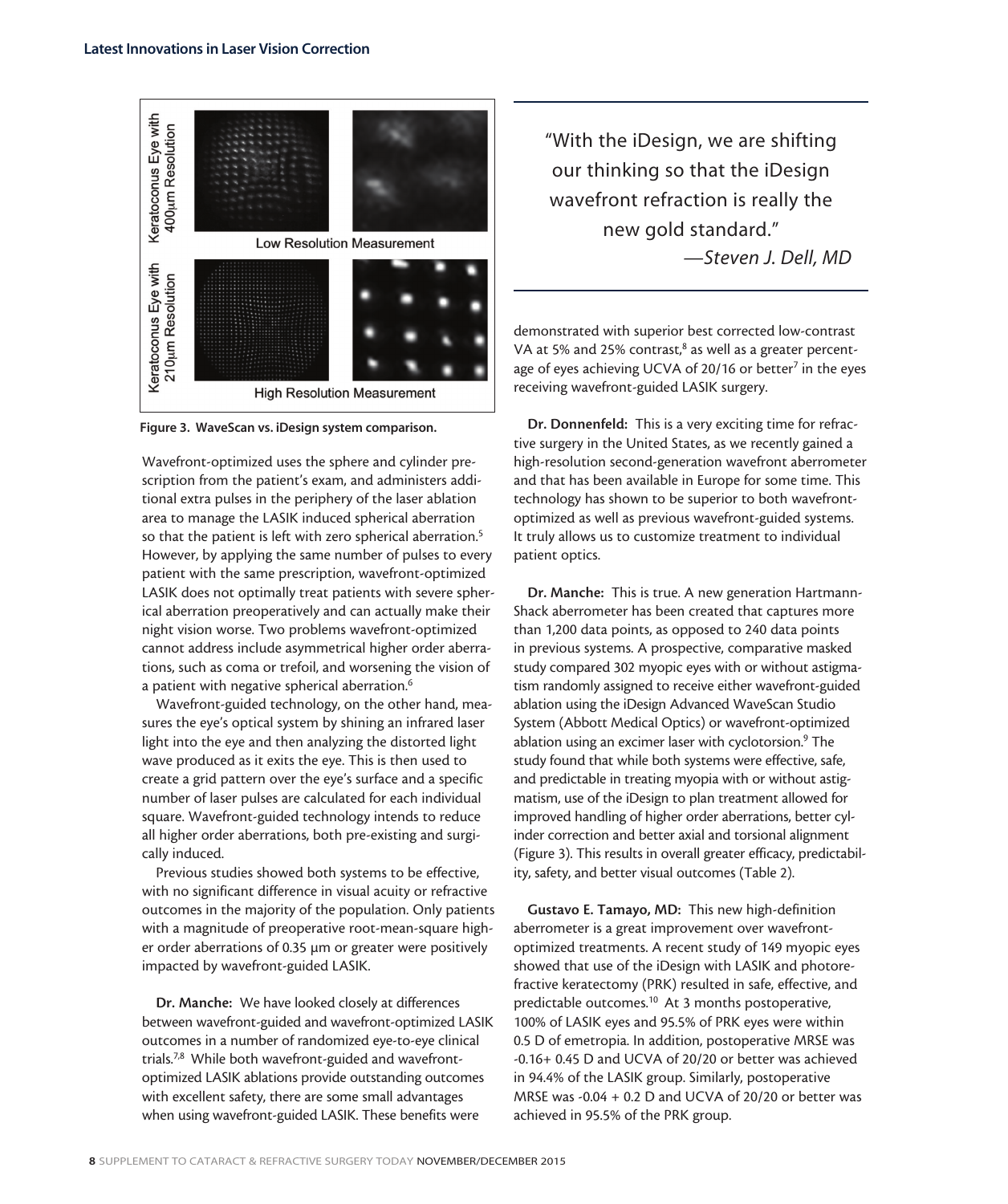

Figure 3. WaveScan vs. iDesign system comparison.

Wavefront-optimized uses the sphere and cylinder prescription from the patient's exam, and administers additional extra pulses in the periphery of the laser ablation area to manage the LASIK induced spherical aberration so that the patient is left with zero spherical aberration.<sup>5</sup> However, by applying the same number of pulses to every patient with the same prescription, wavefront-optimized LASIK does not optimally treat patients with severe spherical aberration preoperatively and can actually make their night vision worse. Two problems wavefront-optimized cannot address include asymmetrical higher order aberrations, such as coma or trefoil, and worsening the vision of a patient with negative spherical aberration.<sup>6</sup>

Wavefront-guided technology, on the other hand, measures the eye's optical system by shining an infrared laser light into the eye and then analyzing the distorted light wave produced as it exits the eye. This is then used to create a grid pattern over the eye's surface and a specific number of laser pulses are calculated for each individual square. Wavefront-guided technology intends to reduce all higher order aberrations, both pre-existing and surgically induced.

Previous studies showed both systems to be effective, with no significant difference in visual acuity or refractive outcomes in the majority of the population. Only patients with a magnitude of preoperative root-mean-square higher order aberrations of 0.35 μm or greater were positively impacted by wavefront-guided LASIK.

Dr. Manche: We have looked closely at differences between wavefront-guided and wavefront-optimized LASIK outcomes in a number of randomized eye-to-eye clinical trials.7,8 While both wavefront-guided and wavefrontoptimized LASIK ablations provide outstanding outcomes with excellent safety, there are some small advantages when using wavefront-guided LASIK. These benefits were

"With the iDesign, we are shifting our thinking so that the iDesign wavefront refraction is really the new gold standard." *—Steven J. Dell, MD*

demonstrated with superior best corrected low-contrast VA at 5% and 25% contrast,<sup>8</sup> as well as a greater percentage of eyes achieving UCVA of 20/16 or better<sup>7</sup> in the eyes receiving wavefront-guided LASIK surgery.

Dr. Donnenfeld: This is a very exciting time for refractive surgery in the United States, as we recently gained a high-resolution second-generation wavefront aberrometer and that has been available in Europe for some time. This technology has shown to be superior to both wavefrontoptimized as well as previous wavefront-guided systems. It truly allows us to customize treatment to individual patient optics.

Dr. Manche: This is true. A new generation Hartmann-Shack aberrometer has been created that captures more than 1,200 data points, as opposed to 240 data points in previous systems. A prospective, comparative masked study compared 302 myopic eyes with or without astigmatism randomly assigned to receive either wavefront-guided ablation using the iDesign Advanced WaveScan Studio System (Abbott Medical Optics) or wavefront-optimized ablation using an excimer laser with cyclotorsion.<sup>9</sup> The study found that while both systems were effective, safe, and predictable in treating myopia with or without astigmatism, use of the iDesign to plan treatment allowed for improved handling of higher order aberrations, better cylinder correction and better axial and torsional alignment (Figure 3). This results in overall greater efficacy, predictability, safety, and better visual outcomes (Table 2).

Gustavo E. Tamayo, MD: This new high-definition aberrometer is a great improvement over wavefrontoptimized treatments. A recent study of 149 myopic eyes showed that use of the iDesign with LASIK and photorefractive keratectomy (PRK) resulted in safe, effective, and predictable outcomes.<sup>10</sup> At 3 months postoperative, 100% of LASIK eyes and 95.5% of PRK eyes were within 0.5 D of emetropia. In addition, postoperative MRSE was -0.16+ 0.45 D and UCVA of 20/20 or better was achieved in 94.4% of the LASIK group. Similarly, postoperative MRSE was -0.04 + 0.2 D and UCVA of 20/20 or better was achieved in 95.5% of the PRK group.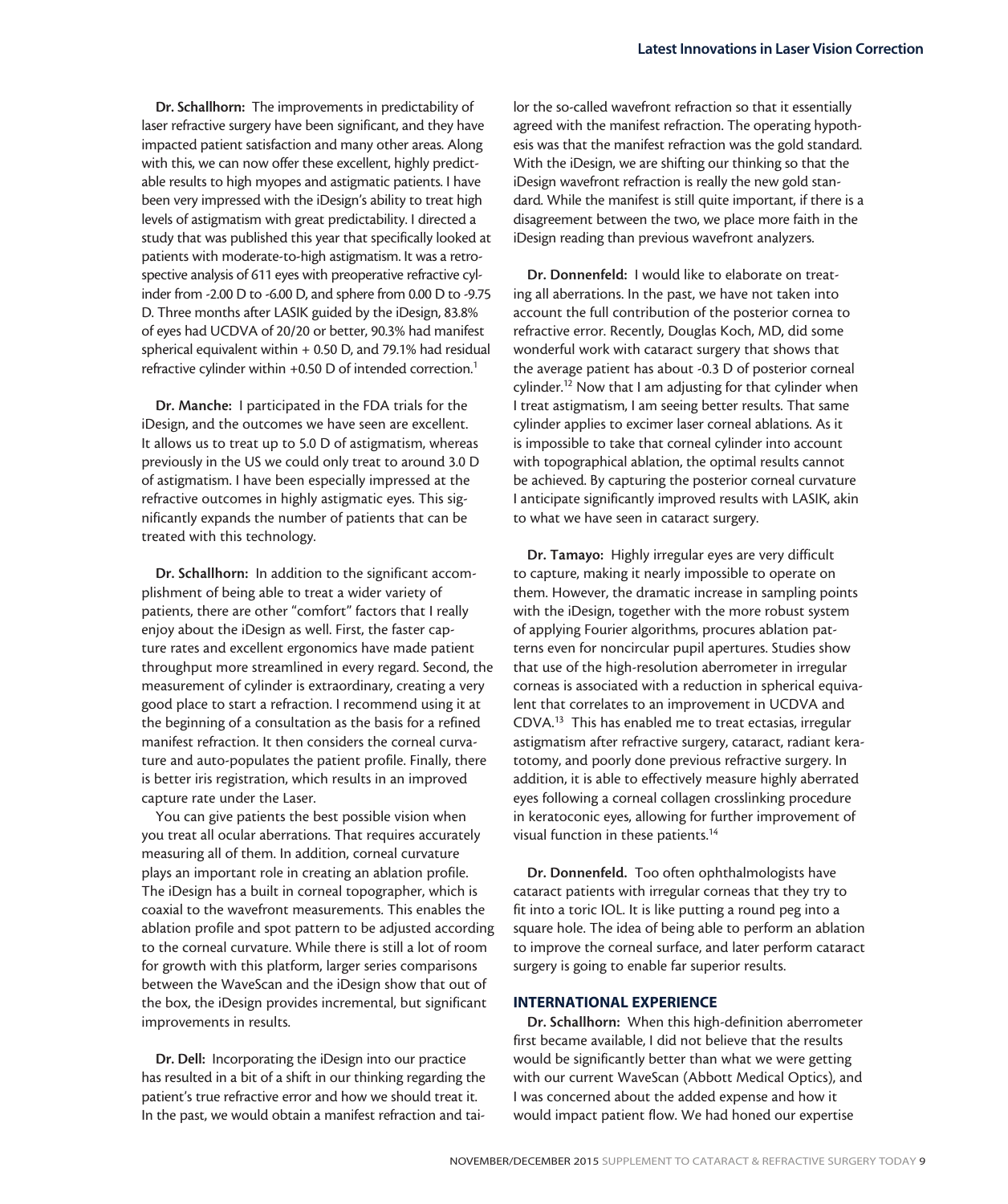Dr. Schallhorn: The improvements in predictability of laser refractive surgery have been significant, and they have impacted patient satisfaction and many other areas. Along with this, we can now offer these excellent, highly predictable results to high myopes and astigmatic patients. I have been very impressed with the iDesign's ability to treat high levels of astigmatism with great predictability. I directed a study that was published this year that specifically looked at patients with moderate-to-high astigmatism. It was a retrospective analysis of 611 eyes with preoperative refractive cylinder from -2.00 D to -6.00 D, and sphere from 0.00 D to -9.75 D. Three months after LASIK guided by the iDesign, 83.8% of eyes had UCDVA of 20/20 or better, 90.3% had manifest spherical equivalent within + 0.50 D, and 79.1% had residual refractive cylinder within +0.50 D of intended correction.<sup>1</sup>

Dr. Manche: I participated in the FDA trials for the iDesign, and the outcomes we have seen are excellent. It allows us to treat up to 5.0 D of astigmatism, whereas previously in the US we could only treat to around 3.0 D of astigmatism. I have been especially impressed at the refractive outcomes in highly astigmatic eyes. This significantly expands the number of patients that can be treated with this technology.

Dr. Schallhorn: In addition to the significant accomplishment of being able to treat a wider variety of patients, there are other "comfort" factors that I really enjoy about the iDesign as well. First, the faster capture rates and excellent ergonomics have made patient throughput more streamlined in every regard. Second, the measurement of cylinder is extraordinary, creating a very good place to start a refraction. I recommend using it at the beginning of a consultation as the basis for a refined manifest refraction. It then considers the corneal curvature and auto-populates the patient profile. Finally, there is better iris registration, which results in an improved capture rate under the Laser.

You can give patients the best possible vision when you treat all ocular aberrations. That requires accurately measuring all of them. In addition, corneal curvature plays an important role in creating an ablation profile. The iDesign has a built in corneal topographer, which is coaxial to the wavefront measurements. This enables the ablation profile and spot pattern to be adjusted according to the corneal curvature. While there is still a lot of room for growth with this platform, larger series comparisons between the WaveScan and the iDesign show that out of the box, the iDesign provides incremental, but significant improvements in results.

Dr. Dell: Incorporating the iDesign into our practice has resulted in a bit of a shift in our thinking regarding the patient's true refractive error and how we should treat it. In the past, we would obtain a manifest refraction and tai-

lor the so-called wavefront refraction so that it essentially agreed with the manifest refraction. The operating hypothesis was that the manifest refraction was the gold standard. With the iDesign, we are shifting our thinking so that the iDesign wavefront refraction is really the new gold standard. While the manifest is still quite important, if there is a disagreement between the two, we place more faith in the iDesign reading than previous wavefront analyzers.

Dr. Donnenfeld: I would like to elaborate on treating all aberrations. In the past, we have not taken into account the full contribution of the posterior cornea to refractive error. Recently, Douglas Koch, MD, did some wonderful work with cataract surgery that shows that the average patient has about -0.3 D of posterior corneal cylinder.<sup>12</sup> Now that I am adjusting for that cylinder when I treat astigmatism, I am seeing better results. That same cylinder applies to excimer laser corneal ablations. As it is impossible to take that corneal cylinder into account with topographical ablation, the optimal results cannot be achieved. By capturing the posterior corneal curvature I anticipate significantly improved results with LASIK, akin to what we have seen in cataract surgery.

Dr. Tamayo: Highly irregular eyes are very difficult to capture, making it nearly impossible to operate on them. However, the dramatic increase in sampling points with the iDesign, together with the more robust system of applying Fourier algorithms, procures ablation patterns even for noncircular pupil apertures. Studies show that use of the high-resolution aberrometer in irregular corneas is associated with a reduction in spherical equivalent that correlates to an improvement in UCDVA and CDVA.13 This has enabled me to treat ectasias, irregular astigmatism after refractive surgery, cataract, radiant keratotomy, and poorly done previous refractive surgery. In addition, it is able to effectively measure highly aberrated eyes following a corneal collagen crosslinking procedure in keratoconic eyes, allowing for further improvement of visual function in these patients.14

Dr. Donnenfeld. Too often ophthalmologists have cataract patients with irregular corneas that they try to fit into a toric IOL. It is like putting a round peg into a square hole. The idea of being able to perform an ablation to improve the corneal surface, and later perform cataract surgery is going to enable far superior results.

#### INTERNATIONAL EXPERIENCE

Dr. Schallhorn: When this high-definition aberrometer first became available, I did not believe that the results would be significantly better than what we were getting with our current WaveScan (Abbott Medical Optics), and I was concerned about the added expense and how it would impact patient flow. We had honed our expertise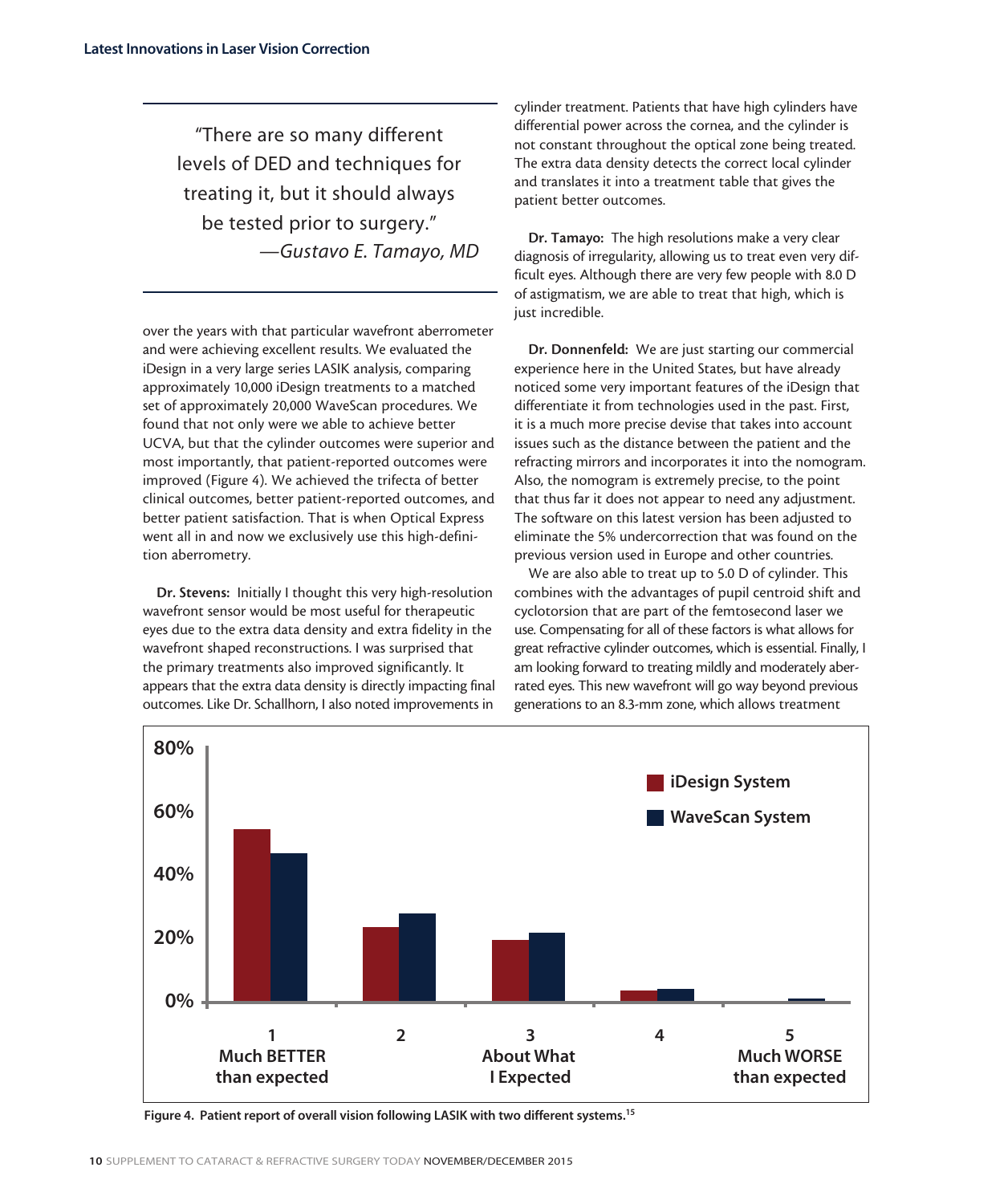"There are so many different levels of DED and techniques for treating it, but it should always be tested prior to surgery." *—Gustavo E. Tamayo, MD*

over the years with that particular wavefront aberrometer and were achieving excellent results. We evaluated the iDesign in a very large series LASIK analysis, comparing approximately 10,000 iDesign treatments to a matched set of approximately 20,000 WaveScan procedures. We found that not only were we able to achieve better UCVA, but that the cylinder outcomes were superior and most importantly, that patient-reported outcomes were improved (Figure 4). We achieved the trifecta of better clinical outcomes, better patient-reported outcomes, and better patient satisfaction. That is when Optical Express went all in and now we exclusively use this high-definition aberrometry.

Dr. Stevens: Initially I thought this very high-resolution wavefront sensor would be most useful for therapeutic eyes due to the extra data density and extra fidelity in the wavefront shaped reconstructions. I was surprised that the primary treatments also improved significantly. It appears that the extra data density is directly impacting final outcomes. Like Dr. Schallhorn, I also noted improvements in

cylinder treatment. Patients that have high cylinders have differential power across the cornea, and the cylinder is not constant throughout the optical zone being treated. The extra data density detects the correct local cylinder and translates it into a treatment table that gives the patient better outcomes.

Dr. Tamayo: The high resolutions make a very clear diagnosis of irregularity, allowing us to treat even very difficult eyes. Although there are very few people with 8.0 D of astigmatism, we are able to treat that high, which is just incredible.

Dr. Donnenfeld: We are just starting our commercial experience here in the United States, but have already noticed some very important features of the iDesign that differentiate it from technologies used in the past. First, it is a much more precise devise that takes into account issues such as the distance between the patient and the refracting mirrors and incorporates it into the nomogram. Also, the nomogram is extremely precise, to the point that thus far it does not appear to need any adjustment. The software on this latest version has been adjusted to eliminate the 5% undercorrection that was found on the previous version used in Europe and other countries.

We are also able to treat up to 5.0 D of cylinder. This combines with the advantages of pupil centroid shift and cyclotorsion that are part of the femtosecond laser we use. Compensating for all of these factors is what allows for great refractive cylinder outcomes, which is essential. Finally, I am looking forward to treating mildly and moderately aberrated eyes. This new wavefront will go way beyond previous generations to an 8.3-mm zone, which allows treatment



Figure 4. Patient report of overall vision following LASIK with two different systems.<sup>15</sup>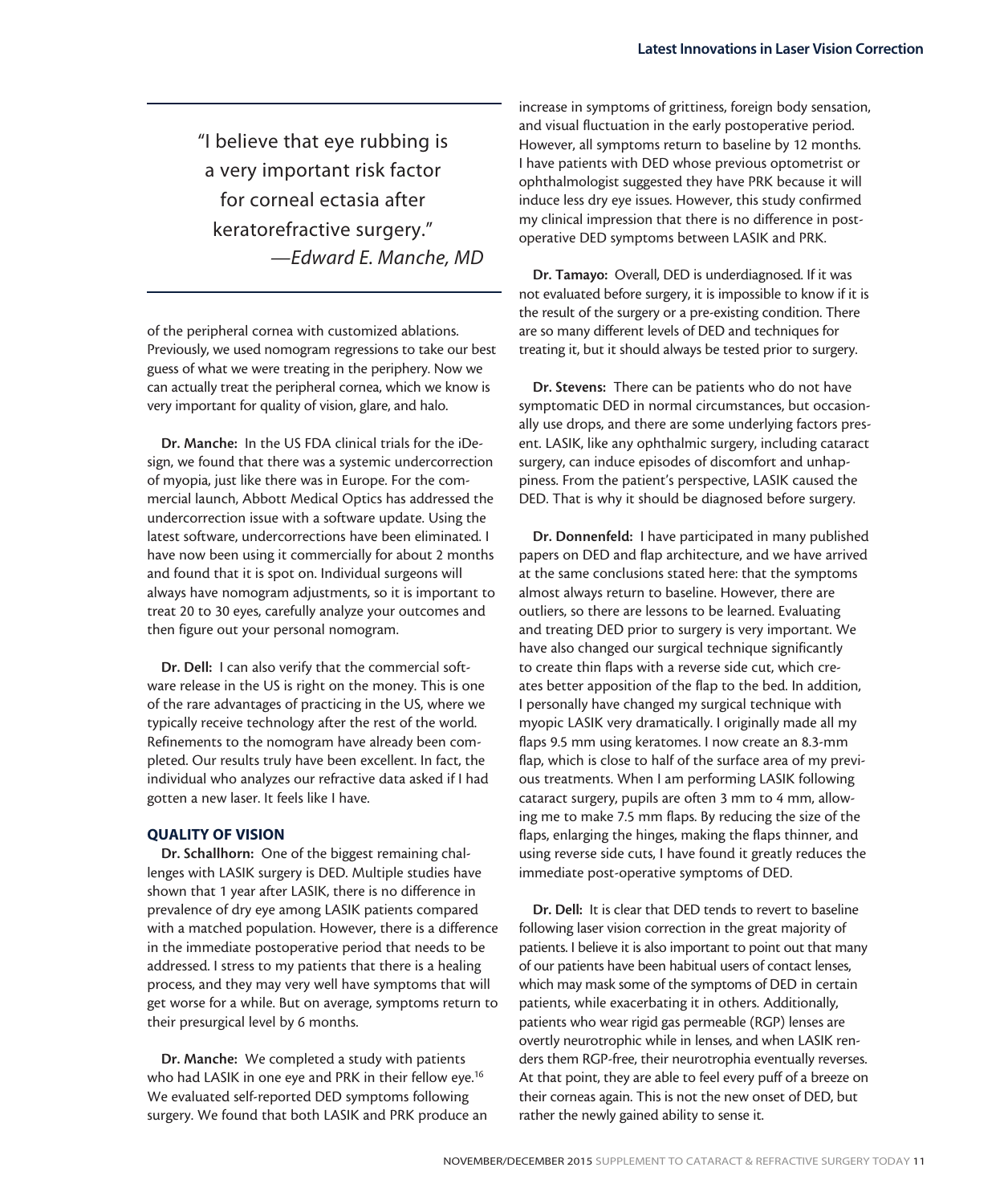"I believe that eye rubbing is a very important risk factor for corneal ectasia after keratorefractive surgery." *—Edward E. Manche, MD*

of the peripheral cornea with customized ablations. Previously, we used nomogram regressions to take our best guess of what we were treating in the periphery. Now we can actually treat the peripheral cornea, which we know is very important for quality of vision, glare, and halo.

Dr. Manche: In the US FDA clinical trials for the iDesign, we found that there was a systemic undercorrection of myopia, just like there was in Europe. For the commercial launch, Abbott Medical Optics has addressed the undercorrection issue with a software update. Using the latest software, undercorrections have been eliminated. I have now been using it commercially for about 2 months and found that it is spot on. Individual surgeons will always have nomogram adjustments, so it is important to treat 20 to 30 eyes, carefully analyze your outcomes and then figure out your personal nomogram.

Dr. Dell: I can also verify that the commercial software release in the US is right on the money. This is one of the rare advantages of practicing in the US, where we typically receive technology after the rest of the world. Refinements to the nomogram have already been completed. Our results truly have been excellent. In fact, the individual who analyzes our refractive data asked if I had gotten a new laser. It feels like I have.

#### QUALITY OF VISION

Dr. Schallhorn: One of the biggest remaining challenges with LASIK surgery is DED. Multiple studies have shown that 1 year after LASIK, there is no difference in prevalence of dry eye among LASIK patients compared with a matched population. However, there is a difference in the immediate postoperative period that needs to be addressed. I stress to my patients that there is a healing process, and they may very well have symptoms that will get worse for a while. But on average, symptoms return to their presurgical level by 6 months.

Dr. Manche: We completed a study with patients who had LASIK in one eye and PRK in their fellow eye.<sup>16</sup> We evaluated self-reported DED symptoms following surgery. We found that both LASIK and PRK produce an

increase in symptoms of grittiness, foreign body sensation, and visual fluctuation in the early postoperative period. However, all symptoms return to baseline by 12 months. I have patients with DED whose previous optometrist or ophthalmologist suggested they have PRK because it will induce less dry eye issues. However, this study confirmed my clinical impression that there is no difference in postoperative DED symptoms between LASIK and PRK.

Dr. Tamayo: Overall, DED is underdiagnosed. If it was not evaluated before surgery, it is impossible to know if it is the result of the surgery or a pre-existing condition. There are so many different levels of DED and techniques for treating it, but it should always be tested prior to surgery.

Dr. Stevens: There can be patients who do not have symptomatic DED in normal circumstances, but occasionally use drops, and there are some underlying factors present. LASIK, like any ophthalmic surgery, including cataract surgery, can induce episodes of discomfort and unhappiness. From the patient's perspective, LASIK caused the DED. That is why it should be diagnosed before surgery.

Dr. Donnenfeld: I have participated in many published papers on DED and flap architecture, and we have arrived at the same conclusions stated here: that the symptoms almost always return to baseline. However, there are outliers, so there are lessons to be learned. Evaluating and treating DED prior to surgery is very important. We have also changed our surgical technique significantly to create thin flaps with a reverse side cut, which creates better apposition of the flap to the bed. In addition, I personally have changed my surgical technique with myopic LASIK very dramatically. I originally made all my flaps 9.5 mm using keratomes. I now create an 8.3-mm flap, which is close to half of the surface area of my previous treatments. When I am performing LASIK following cataract surgery, pupils are often 3 mm to 4 mm, allowing me to make 7.5 mm flaps. By reducing the size of the flaps, enlarging the hinges, making the flaps thinner, and using reverse side cuts, I have found it greatly reduces the immediate post-operative symptoms of DED.

Dr. Dell: It is clear that DED tends to revert to baseline following laser vision correction in the great majority of patients. I believe it is also important to point out that many of our patients have been habitual users of contact lenses, which may mask some of the symptoms of DED in certain patients, while exacerbating it in others. Additionally, patients who wear rigid gas permeable (RGP) lenses are overtly neurotrophic while in lenses, and when LASIK renders them RGP-free, their neurotrophia eventually reverses. At that point, they are able to feel every puff of a breeze on their corneas again. This is not the new onset of DED, but rather the newly gained ability to sense it.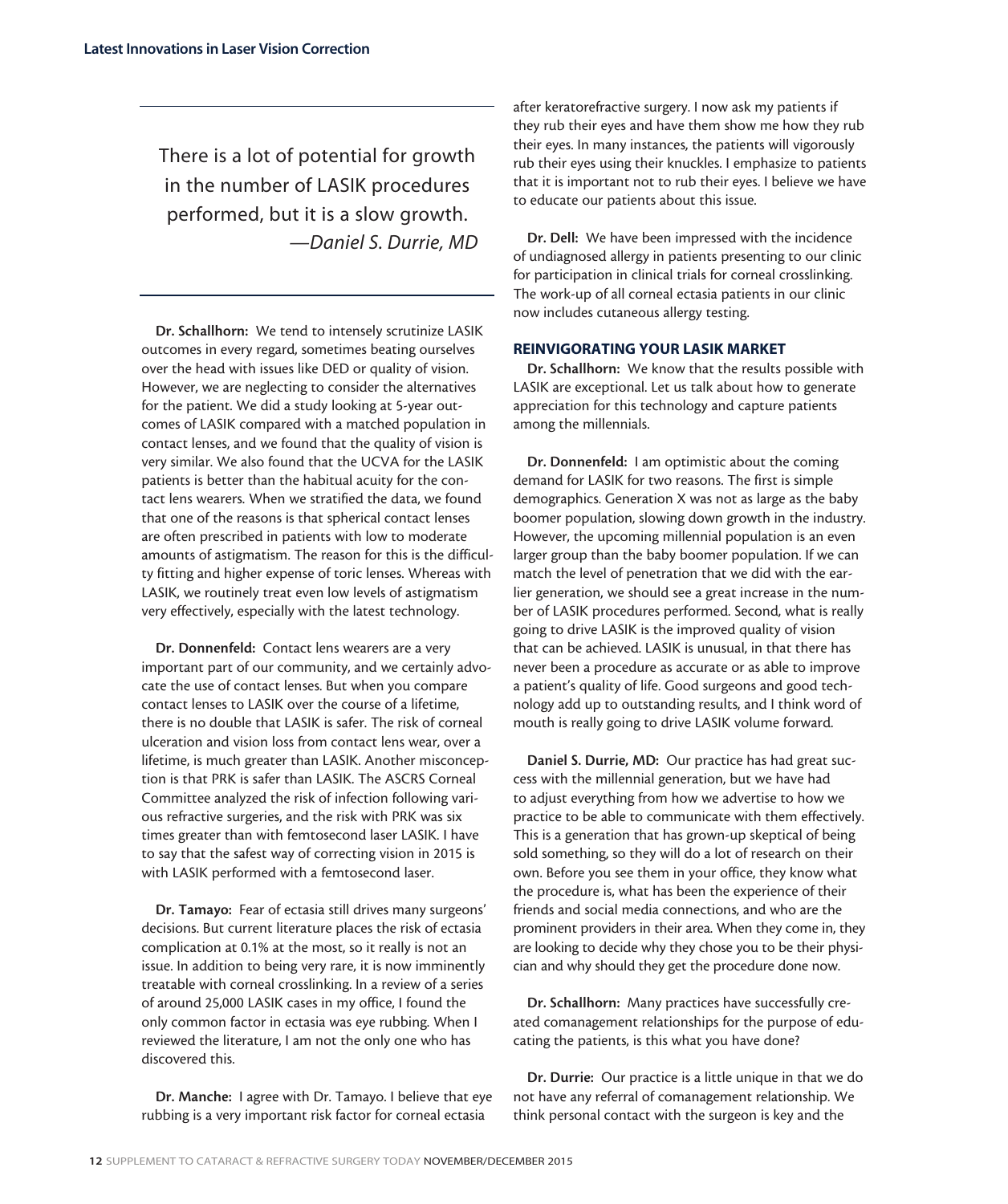There is a lot of potential for growth in the number of LASIK procedures performed, but it is a slow growth. *—Daniel S. Durrie, MD*

Dr. Schallhorn: We tend to intensely scrutinize LASIK outcomes in every regard, sometimes beating ourselves over the head with issues like DED or quality of vision. However, we are neglecting to consider the alternatives for the patient. We did a study looking at 5-year outcomes of LASIK compared with a matched population in contact lenses, and we found that the quality of vision is very similar. We also found that the UCVA for the LASIK patients is better than the habitual acuity for the contact lens wearers. When we stratified the data, we found that one of the reasons is that spherical contact lenses are often prescribed in patients with low to moderate amounts of astigmatism. The reason for this is the difficulty fitting and higher expense of toric lenses. Whereas with LASIK, we routinely treat even low levels of astigmatism very effectively, especially with the latest technology.

Dr. Donnenfeld: Contact lens wearers are a very important part of our community, and we certainly advocate the use of contact lenses. But when you compare contact lenses to LASIK over the course of a lifetime, there is no double that LASIK is safer. The risk of corneal ulceration and vision loss from contact lens wear, over a lifetime, is much greater than LASIK. Another misconception is that PRK is safer than LASIK. The ASCRS Corneal Committee analyzed the risk of infection following various refractive surgeries, and the risk with PRK was six times greater than with femtosecond laser LASIK. I have to say that the safest way of correcting vision in 2015 is with LASIK performed with a femtosecond laser.

Dr. Tamayo: Fear of ectasia still drives many surgeons' decisions. But current literature places the risk of ectasia complication at 0.1% at the most, so it really is not an issue. In addition to being very rare, it is now imminently treatable with corneal crosslinking. In a review of a series of around 25,000 LASIK cases in my office, I found the only common factor in ectasia was eye rubbing. When I reviewed the literature, I am not the only one who has discovered this.

Dr. Manche: I agree with Dr. Tamayo. I believe that eye rubbing is a very important risk factor for corneal ectasia

after keratorefractive surgery. I now ask my patients if they rub their eyes and have them show me how they rub their eyes. In many instances, the patients will vigorously rub their eyes using their knuckles. I emphasize to patients that it is important not to rub their eyes. I believe we have to educate our patients about this issue.

Dr. Dell: We have been impressed with the incidence of undiagnosed allergy in patients presenting to our clinic for participation in clinical trials for corneal crosslinking. The work-up of all corneal ectasia patients in our clinic now includes cutaneous allergy testing.

#### REINVIGORATING YOUR LASIK MARKET

Dr. Schallhorn: We know that the results possible with LASIK are exceptional. Let us talk about how to generate appreciation for this technology and capture patients among the millennials.

Dr. Donnenfeld: I am optimistic about the coming demand for LASIK for two reasons. The first is simple demographics. Generation X was not as large as the baby boomer population, slowing down growth in the industry. However, the upcoming millennial population is an even larger group than the baby boomer population. If we can match the level of penetration that we did with the earlier generation, we should see a great increase in the number of LASIK procedures performed. Second, what is really going to drive LASIK is the improved quality of vision that can be achieved. LASIK is unusual, in that there has never been a procedure as accurate or as able to improve a patient's quality of life. Good surgeons and good technology add up to outstanding results, and I think word of mouth is really going to drive LASIK volume forward.

Daniel S. Durrie, MD: Our practice has had great success with the millennial generation, but we have had to adjust everything from how we advertise to how we practice to be able to communicate with them effectively. This is a generation that has grown-up skeptical of being sold something, so they will do a lot of research on their own. Before you see them in your office, they know what the procedure is, what has been the experience of their friends and social media connections, and who are the prominent providers in their area. When they come in, they are looking to decide why they chose you to be their physician and why should they get the procedure done now.

Dr. Schallhorn: Many practices have successfully created comanagement relationships for the purpose of educating the patients, is this what you have done?

Dr. Durrie: Our practice is a little unique in that we do not have any referral of comanagement relationship. We think personal contact with the surgeon is key and the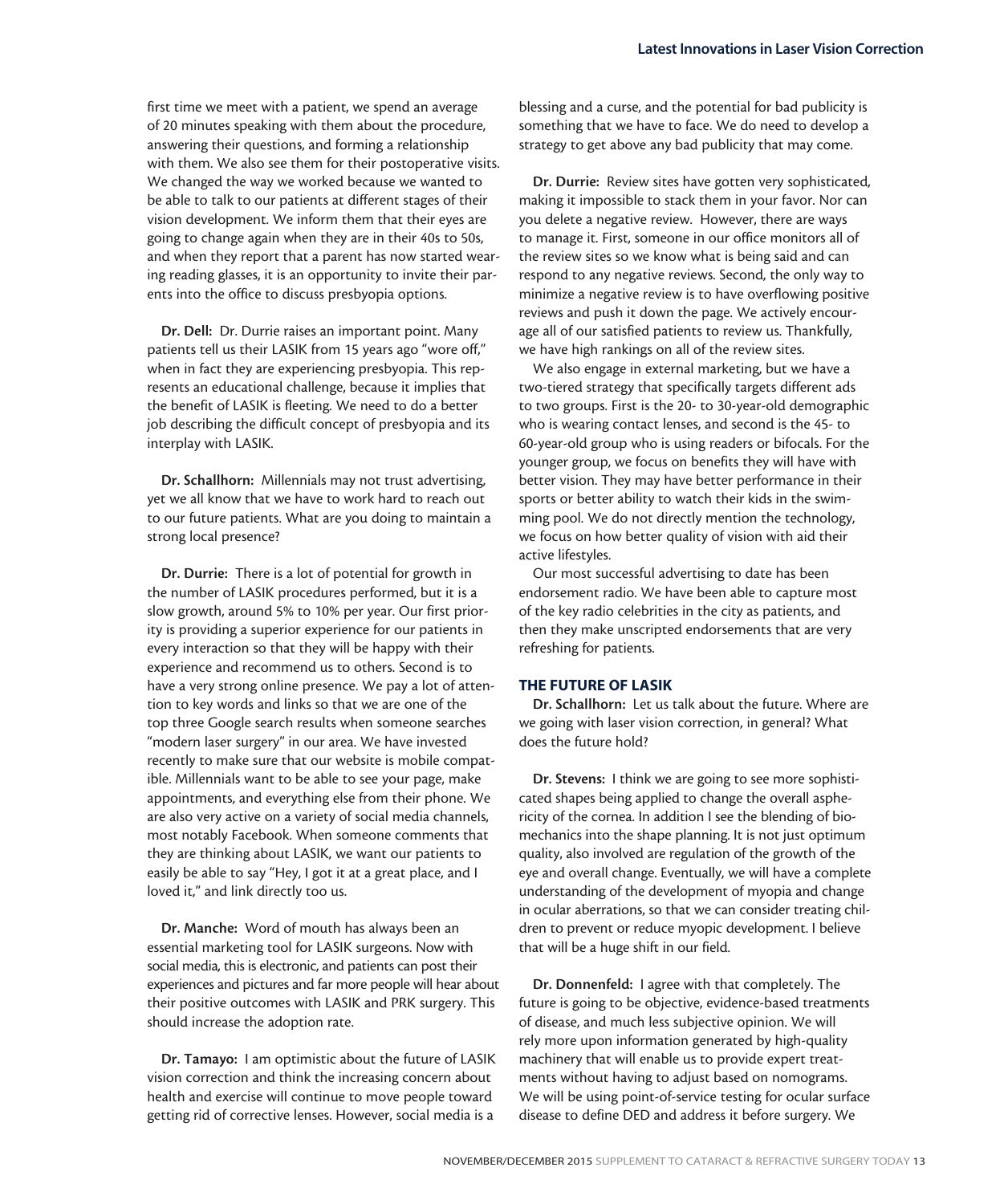first time we meet with a patient, we spend an average of 20 minutes speaking with them about the procedure, answering their questions, and forming a relationship with them. We also see them for their postoperative visits. We changed the way we worked because we wanted to be able to talk to our patients at different stages of their vision development. We inform them that their eyes are going to change again when they are in their 40s to 50s, and when they report that a parent has now started wearing reading glasses, it is an opportunity to invite their parents into the office to discuss presbyopia options.

Dr. Dell: Dr. Durrie raises an important point. Many patients tell us their LASIK from 15 years ago "wore off," when in fact they are experiencing presbyopia. This represents an educational challenge, because it implies that the benefit of LASIK is fleeting. We need to do a better job describing the difficult concept of presbyopia and its interplay with LASIK.

Dr. Schallhorn: Millennials may not trust advertising, yet we all know that we have to work hard to reach out to our future patients. What are you doing to maintain a strong local presence?

Dr. Durrie: There is a lot of potential for growth in the number of LASIK procedures performed, but it is a slow growth, around 5% to 10% per year. Our first priority is providing a superior experience for our patients in every interaction so that they will be happy with their experience and recommend us to others. Second is to have a very strong online presence. We pay a lot of attention to key words and links so that we are one of the top three Google search results when someone searches "modern laser surgery" in our area. We have invested recently to make sure that our website is mobile compatible. Millennials want to be able to see your page, make appointments, and everything else from their phone. We are also very active on a variety of social media channels, most notably Facebook. When someone comments that they are thinking about LASIK, we want our patients to easily be able to say "Hey, I got it at a great place, and I loved it," and link directly too us.

Dr. Manche: Word of mouth has always been an essential marketing tool for LASIK surgeons. Now with social media, this is electronic, and patients can post their experiences and pictures and far more people will hear about their positive outcomes with LASIK and PRK surgery. This should increase the adoption rate.

Dr. Tamayo: I am optimistic about the future of LASIK vision correction and think the increasing concern about health and exercise will continue to move people toward getting rid of corrective lenses. However, social media is a

blessing and a curse, and the potential for bad publicity is something that we have to face. We do need to develop a strategy to get above any bad publicity that may come.

Dr. Durrie: Review sites have gotten very sophisticated, making it impossible to stack them in your favor. Nor can you delete a negative review. However, there are ways to manage it. First, someone in our office monitors all of the review sites so we know what is being said and can respond to any negative reviews. Second, the only way to minimize a negative review is to have overflowing positive reviews and push it down the page. We actively encourage all of our satisfied patients to review us. Thankfully, we have high rankings on all of the review sites.

We also engage in external marketing, but we have a two-tiered strategy that specifically targets different ads to two groups. First is the 20- to 30-year-old demographic who is wearing contact lenses, and second is the 45- to 60-year-old group who is using readers or bifocals. For the younger group, we focus on benefits they will have with better vision. They may have better performance in their sports or better ability to watch their kids in the swimming pool. We do not directly mention the technology, we focus on how better quality of vision with aid their active lifestyles.

Our most successful advertising to date has been endorsement radio. We have been able to capture most of the key radio celebrities in the city as patients, and then they make unscripted endorsements that are very refreshing for patients.

#### THE FUTURE OF LASIK

Dr. Schallhorn: Let us talk about the future. Where are we going with laser vision correction, in general? What does the future hold?

Dr. Stevens: I think we are going to see more sophisticated shapes being applied to change the overall asphericity of the cornea. In addition I see the blending of biomechanics into the shape planning. It is not just optimum quality, also involved are regulation of the growth of the eye and overall change. Eventually, we will have a complete understanding of the development of myopia and change in ocular aberrations, so that we can consider treating children to prevent or reduce myopic development. I believe that will be a huge shift in our field.

Dr. Donnenfeld: I agree with that completely. The future is going to be objective, evidence-based treatments of disease, and much less subjective opinion. We will rely more upon information generated by high-quality machinery that will enable us to provide expert treatments without having to adjust based on nomograms. We will be using point-of-service testing for ocular surface disease to define DED and address it before surgery. We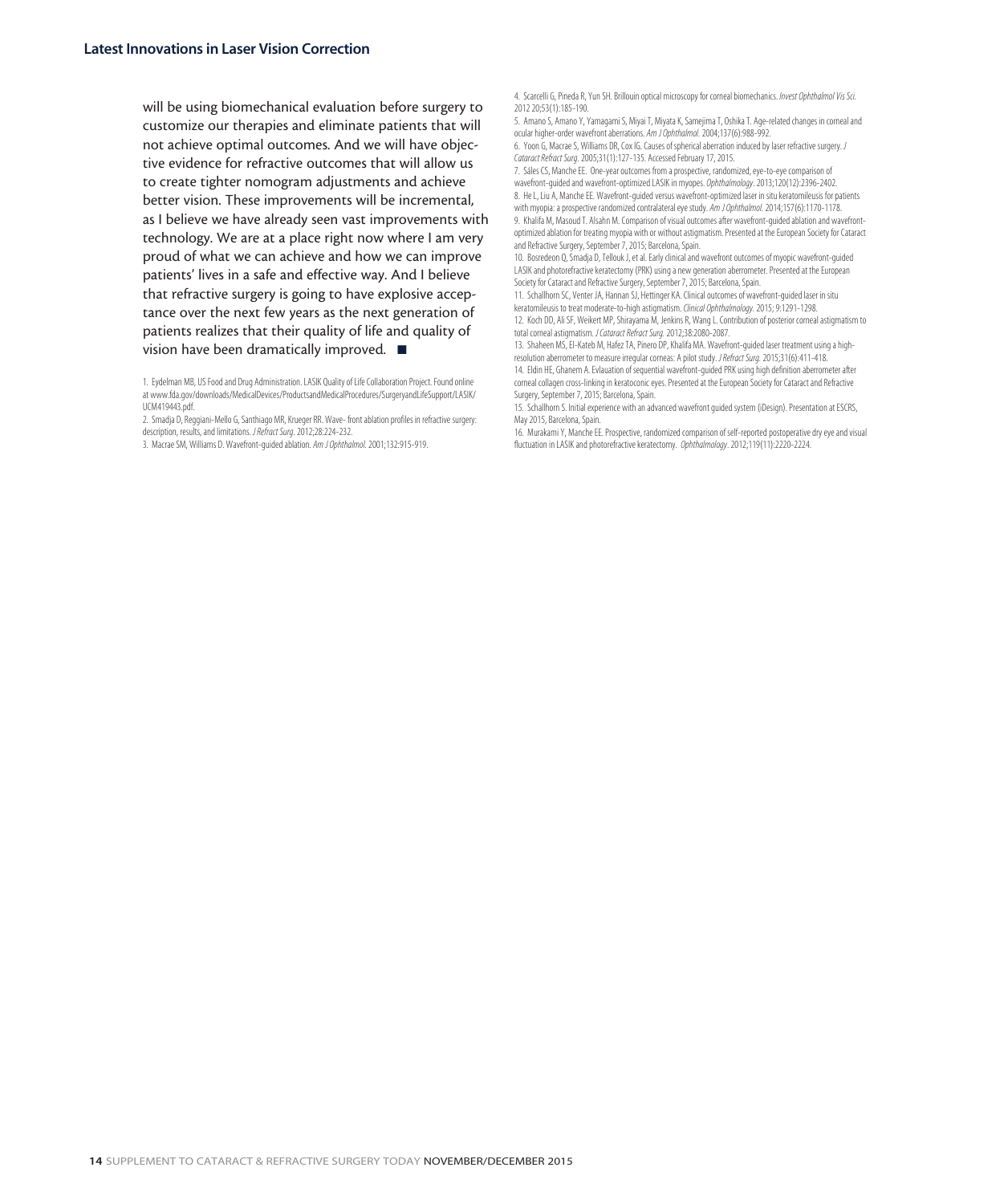will be using biomechanical evaluation before surgery to customize our therapies and eliminate patients that will not achieve optimal outcomes. And we will have objective evidence for refractive outcomes that will allow us to create tighter nomogram adjustments and achieve better vision. These improvements will be incremental, as I believe we have already seen vast improvements with technology. We are at a place right now where I am very proud of what we can achieve and how we can improve patients' lives in a safe and effective way. And I believe that refractive surgery is going to have explosive acceptance over the next few years as the next generation of patients realizes that their quality of life and quality of vision have been dramatically improved.  $\blacksquare$ 

1. Eydelman MB, US Food and Drug Administration. LASIK Quality of Life Collaboration Project. Found online at www.fda.gov/downloads/MedicalDevices/ProductsandMedicalProcedures/SurgeryandLifeSupport/LASIK/ UCM419443.pdf.

2. Smadja D, Reggiani-Mello G, Santhiago MR, Krueger RR. Wave- front ablation profiles in refractive surgery: description, results, and limitations. *J Refract Surg*. 2012;28:224-232.

3. Macrae SM, Williams D. Wavefront-guided ablation. *Am J Ophthalmol.* 2001;132:915-919.

4. Scarcelli G, Pineda R, Yun SH. Brillouin optical microscopy for corneal biomechanics. *Invest Ophthalmol Vis Sci.*  2012 20;53(1):185-190.

5. Amano S, Amano Y, Yamagami S, Miyai T, Miyata K, Samejima T, Oshika T. Age-related changes in corneal and ocular higher-order wavefront aberrations. *Am J Ophthalmol.* 2004;137(6):988-992.

6. Yoon G, Macrae S, Williams DR, Cox IG. Causes of spherical aberration induced by laser refractive surgery. *J Cataract Refract Surg*. 2005;31(1):127-135. Accessed February 17, 2015.

7. Sáles CS, Manche EE. One-year outcomes from a prospective, randomized, eye-to-eye comparison of wavefront-guided and wavefront-optimized LASIK in myopes. *Ophthalmology*. 2013;120(12):2396-2402. 8. He L, Liu A, Manche EE. Wavefront-guided versus wavefront-optimized laser in situ keratomileusis for patients with myopia: a prospective randomized contralateral eye study. *Am J Ophthalmol.* 2014;157(6):1170-1178.

9. Khalifa M, Masoud T. Alsahn M. Comparison of visual outcomes after wavefront-guided ablation and wavefrontoptimized ablation for treating myopia with or without astigmatism. Presented at the European Society for Cataract and Refractive Surgery, September 7, 2015; Barcelona, Spain.

10. Bosredeon Q, Smadja D, Tellouk J, et al. Early clinical and wavefront outcomes of myopic wavefront-guided LASIK and photorefractive keratectomy (PRK) using a new generation aberrometer. Presented at the European Society for Cataract and Refractive Surgery, September 7, 2015; Barcelona, Spain.

11. Schallhorn SC, Venter JA, Hannan SJ, Hettinger KA. Clinical outcomes of wavefront-guided laser in situ keratomileusis to treat moderate-to-high astigmatism. *Clinical Ophthalmology.* 2015; 9:1291-1298.

12. Koch DD, Ali SF, Weikert MP, Shirayama M, Jenkins R, Wang L. Contribution of posterior corneal astigmatism to total corneal astigmatism. *J Cataract Refract Surg.* 2012;38:2080-2087.

13. Shaheen MS, El-Kateb M, Hafez TA, Pinero DP, Khalifa MA. Wavefront-guided laser treatment using a highresolution aberrometer to measure irregular corneas: A pilot study. *J Refract Surg.* 2015;31(6):411-418. 14. Eldin HE, Ghanem A. Evlauation of sequential wavefront-guided PRK using high definition aberrometer after corneal collagen cross-linking in keratoconic eyes. Presented at the European Society for Cataract and Refractive Surgery, September 7, 2015; Barcelona, Spain.

15. Schallhorn S. Initial experience with an advanced wavefront guided system (iDesign). Presentation at ESCRS, May 2015, Barcelona, Spain.

16. Murakami Y, Manche EE. Prospective, randomized comparison of self-reported postoperative dry eye and visual fluctuation in LASIK and photorefractive keratectomy. *Ophthalmology*. 2012;119(11):2220-2224.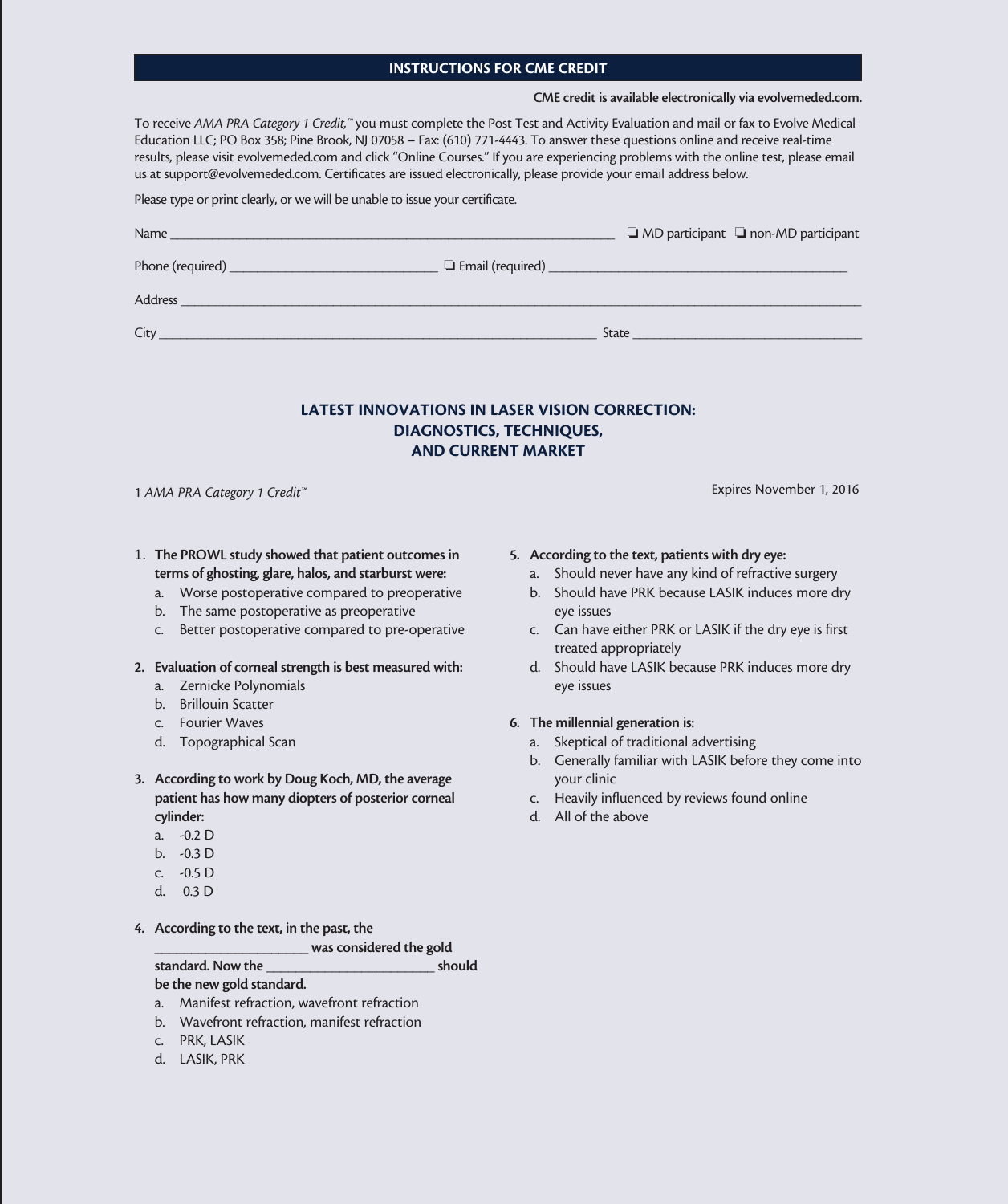#### INSTRUCTIONS FOR CME CREDIT

#### CME credit is available electronically via evolvemeded.com.

To receive *AMA PRA Category 1 Credit,™* you must complete the Post Test and Activity Evaluation and mail or fax to Evolve Medical Education LLC; PO Box 358; Pine Brook, NJ 07058 – Fax: (610) 771-4443. To answer these questions online and receive real-time results, please visit evolvemeded.com and click "Online Courses." If you are experiencing problems with the online test, please email us at support@evolvemeded.com. Certificates are issued electronically, please provide your email address below.

#### Please type or print clearly, or we will be unable to issue your certificate.

| Name                                    | $\Box$ MD participant $\Box$ non-MD participant |
|-----------------------------------------|-------------------------------------------------|
|                                         |                                                 |
| Address<br><u> Andrew Marian (1988)</u> |                                                 |
| City                                    | State                                           |

#### LATEST INNOVATIONS IN LASER VISION CORRECTION: DIAGNOSTICS, TECHNIQUES, AND CURRENT MARKET

1 *AMA PRA Category 1 Credit™* Expires November 1, 2016

- 1. The PROWL study showed that patient outcomes in terms of ghosting, glare, halos, and starburst were:
	- a. Worse postoperative compared to preoperative
	- b. The same postoperative as preoperative
	- c. Better postoperative compared to pre-operative
- 2. Evaluation of corneal strength is best measured with:
	- a. Zernicke Polynomials
	- b. Brillouin Scatter
	- c. Fourier Waves
	- d. Topographical Scan
- 3. According to work by Doug Koch, MD, the average patient has how many diopters of posterior corneal cylinder:
	- a. -0.2 D
	- b. -0.3 D
	- c. -0.5 D
	- d. 0.3 D
- 4. According to the text, in the past, the

was considered the gold

standard. Now the **should** be the new gold standard.

- a. Manifest refraction, wavefront refraction
- b. Wavefront refraction, manifest refraction
- c. PRK, LASIK
- d. LASIK, PRK

#### 5. According to the text, patients with dry eye:

- a. Should never have any kind of refractive surgery
- b. Should have PRK because LASIK induces more dry eye issues
- c. Can have either PRK or LASIK if the dry eye is first treated appropriately
- d. Should have LASIK because PRK induces more dry eye issues

#### 6. The millennial generation is:

- a. Skeptical of traditional advertising
- b. Generally familiar with LASIK before they come into your clinic
- c. Heavily influenced by reviews found online
- d. All of the above